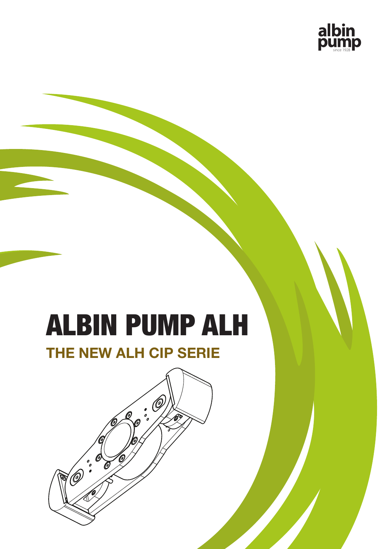

# ALBIN PUMP ALH

## **THE NEW ALH CIP SERIE**

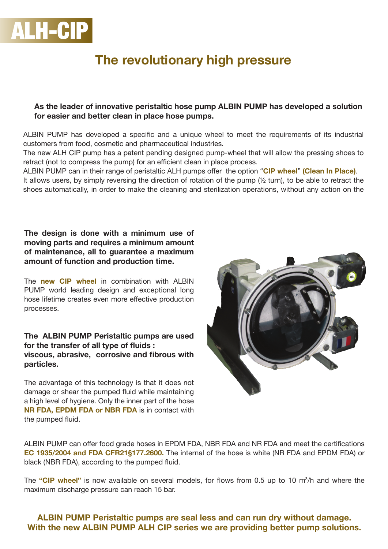

## **The revolutionary high pressure**

#### **As the leader of innovative peristaltic hose pump ALBIN PUMP has developed a solution for easier and better clean in place hose pumps.**

ALBIN PUMP has developed a specific and a unique wheel to meet the requirements of its industrial customers from food, cosmetic and pharmaceutical industries.

The new ALH CIP pump has a patent pending designed pump-wheel that will allow the pressing shoes to retract (not to compress the pump) for an efficient clean in place process.

ALBIN PUMP can in their range of peristaltic ALH pumps offer the option "**CIP wheel**" **(Clean In Place)**. It allows users, by simply reversing the direction of rotation of the pump (½ turn), to be able to retract the shoes automatically, in order to make the cleaning and sterilization operations, without any action on the

#### **The design is done with a minimum use of moving parts and requires a minimum amount of maintenance, all to guarantee a maximum amount of function and production time.**

The **new CIP wheel** in combination with ALBIN PUMP world leading design and exceptional long hose lifetime creates even more effective production processes.

#### **The ALBIN PUMP Peristaltic pumps are used for the transfer of all type of fluids : viscous, abrasive, corrosive and fibrous with particles.**

The advantage of this technology is that it does not damage or shear the pumped fluid while maintaining a high level of hygiene. Only the inner part of the hose **NR FDA, EPDM FDA or NBR FDA** is in contact with the pumped fluid.



ALBIN PUMP can offer food grade hoses in EPDM FDA, NBR FDA and NR FDA and meet the certifications **EC 1935/2004 and FDA CFR21§177.2600.** The internal of the hose is white (NR FDA and EPDM FDA) or black (NBR FDA), according to the pumped fluid.

The **"CIP wheel"** is now available on several models, for flows from 0.5 up to 10 m<sup>3</sup> /h and where the maximum discharge pressure can reach 15 bar.

#### **ALBIN PUMP Peristaltic pumps are seal less and can run dry without damage. With the new ALBIN PUMP ALH CIP series we are providing better pump solutions.**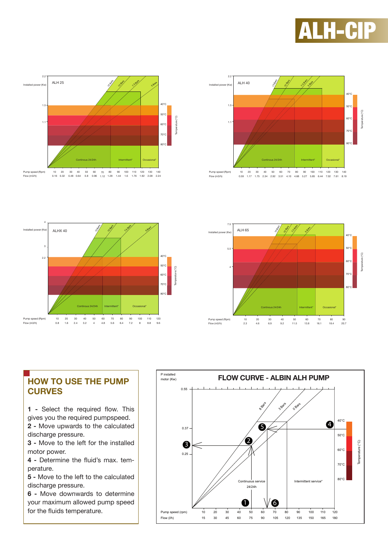



15 Bars 10 Bars **1.5 Bars** 

40°C 50°C 60°C 70°C 80°C

Temperature (°C)

empe

 $\widehat{\mathcal{C}}$ 

**5895** 

100 8

110 8.8

120 9.6

80 6.4

Intermittent\* Occasional\*

90 7.2





### **HOW TO USE THE PUMP CURVES**

Continous 24/24h

50 4 60 4.8 70 5.6

30 2.4 40 3.2

10 0.8 20 1.6

Pump speed (Rpm) Flow (m3/h)

Installed power (Kw)

2.2

3

4

ALHX 40

**1 -** Select the required flow. This gives you the required pumpspeed.

**2 -** Move upwards to the calculated discharge pressure.

**3 -** Move to the left for the installed motor power.

**4 -** Determine the fluid's max. temperature.

**5 -** Move to the left to the calculated discharge pressure.

**6 -** Move downwards to determine your maximum allowed pump speed